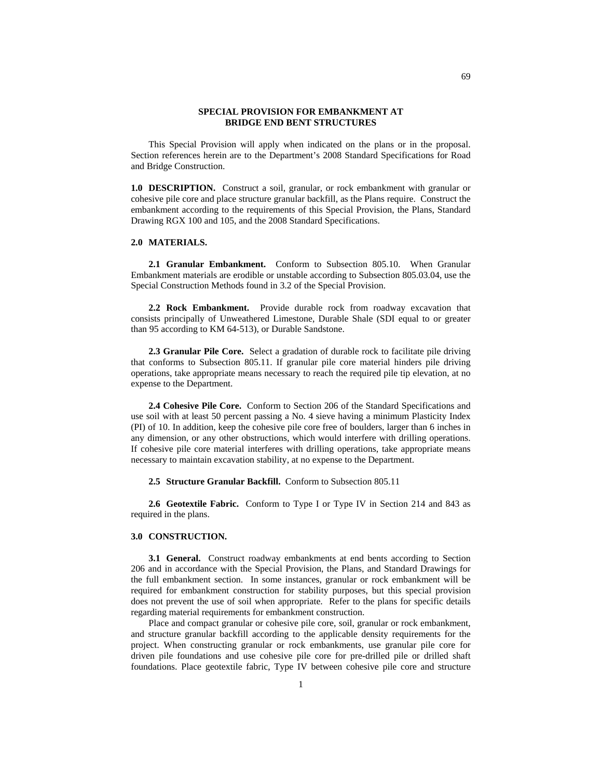## **SPECIAL PROVISION FOR EMBANKMENT AT BRIDGE END BENT STRUCTURES**

This Special Provision will apply when indicated on the plans or in the proposal. Section references herein are to the Department's 2008 Standard Specifications for Road and Bridge Construction.

**1.0 DESCRIPTION.** Construct a soil, granular, or rock embankment with granular or cohesive pile core and place structure granular backfill, as the Plans require. Construct the embankment according to the requirements of this Special Provision, the Plans, Standard Drawing RGX 100 and 105, and the 2008 Standard Specifications.

## **2.0 MATERIALS.**

**2.1 Granular Embankment.** Conform to Subsection 805.10. When Granular Embankment materials are erodible or unstable according to Subsection 805.03.04, use the Special Construction Methods found in 3.2 of the Special Provision.

**2.2 Rock Embankment.** Provide durable rock from roadway excavation that consists principally of Unweathered Limestone, Durable Shale (SDI equal to or greater than 95 according to KM 64-513), or Durable Sandstone.

**2.3 Granular Pile Core.** Select a gradation of durable rock to facilitate pile driving that conforms to Subsection 805.11. If granular pile core material hinders pile driving operations, take appropriate means necessary to reach the required pile tip elevation, at no expense to the Department.

**2.4 Cohesive Pile Core.** Conform to Section 206 of the Standard Specifications and use soil with at least 50 percent passing a No. 4 sieve having a minimum Plasticity Index (PI) of 10. In addition, keep the cohesive pile core free of boulders, larger than 6 inches in any dimension, or any other obstructions, which would interfere with drilling operations. If cohesive pile core material interferes with drilling operations, take appropriate means necessary to maintain excavation stability, at no expense to the Department.

**2.5 Structure Granular Backfill.** Conform to Subsection 805.11

2.6 Geotextile Fabric. Conform to Type I or Type IV in Section 214 and 843 as required in the plans.

## **3.0 CONSTRUCTION.**

**3.1 General.** Construct roadway embankments at end bents according to Section 206 and in accordance with the Special Provision, the Plans, and Standard Drawings for the full embankment section. In some instances, granular or rock embankment will be required for embankment construction for stability purposes, but this special provision does not prevent the use of soil when appropriate. Refer to the plans for specific details regarding material requirements for embankment construction.

Place and compact granular or cohesive pile core, soil, granular or rock embankment, and structure granular backfill according to the applicable density requirements for the project. When constructing granular or rock embankments, use granular pile core for driven pile foundations and use cohesive pile core for pre-drilled pile or drilled shaft foundations. Place geotextile fabric, Type IV between cohesive pile core and structure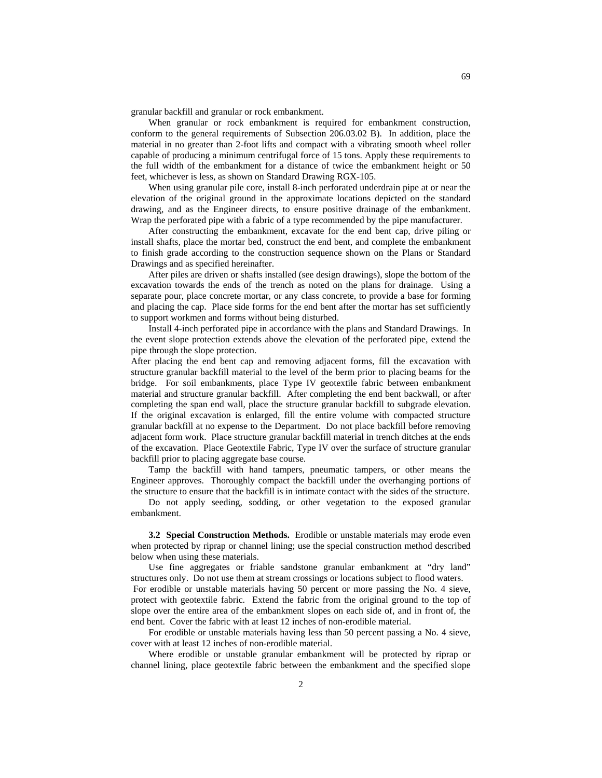granular backfill and granular or rock embankment.

When granular or rock embankment is required for embankment construction, conform to the general requirements of Subsection 206.03.02 B). In addition, place the material in no greater than 2-foot lifts and compact with a vibrating smooth wheel roller capable of producing a minimum centrifugal force of 15 tons. Apply these requirements to the full width of the embankment for a distance of twice the embankment height or 50 feet, whichever is less, as shown on Standard Drawing RGX-105.

When using granular pile core, install 8-inch perforated underdrain pipe at or near the elevation of the original ground in the approximate locations depicted on the standard drawing, and as the Engineer directs, to ensure positive drainage of the embankment. Wrap the perforated pipe with a fabric of a type recommended by the pipe manufacturer.

After constructing the embankment, excavate for the end bent cap, drive piling or install shafts, place the mortar bed, construct the end bent, and complete the embankment to finish grade according to the construction sequence shown on the Plans or Standard Drawings and as specified hereinafter.

After piles are driven or shafts installed (see design drawings), slope the bottom of the excavation towards the ends of the trench as noted on the plans for drainage. Using a separate pour, place concrete mortar, or any class concrete, to provide a base for forming and placing the cap. Place side forms for the end bent after the mortar has set sufficiently to support workmen and forms without being disturbed.

Install 4-inch perforated pipe in accordance with the plans and Standard Drawings. In the event slope protection extends above the elevation of the perforated pipe, extend the pipe through the slope protection.

After placing the end bent cap and removing adjacent forms, fill the excavation with structure granular backfill material to the level of the berm prior to placing beams for the bridge. For soil embankments, place Type IV geotextile fabric between embankment material and structure granular backfill. After completing the end bent backwall, or after completing the span end wall, place the structure granular backfill to subgrade elevation. If the original excavation is enlarged, fill the entire volume with compacted structure granular backfill at no expense to the Department. Do not place backfill before removing adjacent form work. Place structure granular backfill material in trench ditches at the ends of the excavation. Place Geotextile Fabric, Type IV over the surface of structure granular backfill prior to placing aggregate base course.

Tamp the backfill with hand tampers, pneumatic tampers, or other means the Engineer approves. Thoroughly compact the backfill under the overhanging portions of the structure to ensure that the backfill is in intimate contact with the sides of the structure.

Do not apply seeding, sodding, or other vegetation to the exposed granular embankment.

**3.2 Special Construction Methods.** Erodible or unstable materials may erode even when protected by riprap or channel lining; use the special construction method described below when using these materials.

Use fine aggregates or friable sandstone granular embankment at "dry land" structures only. Do not use them at stream crossings or locations subject to flood waters. For erodible or unstable materials having 50 percent or more passing the No. 4 sieve, protect with geotextile fabric. Extend the fabric from the original ground to the top of slope over the entire area of the embankment slopes on each side of, and in front of, the

end bent. Cover the fabric with at least 12 inches of non-erodible material. For erodible or unstable materials having less than 50 percent passing a No. 4 sieve, cover with at least 12 inches of non-erodible material.

Where erodible or unstable granular embankment will be protected by riprap or channel lining, place geotextile fabric between the embankment and the specified slope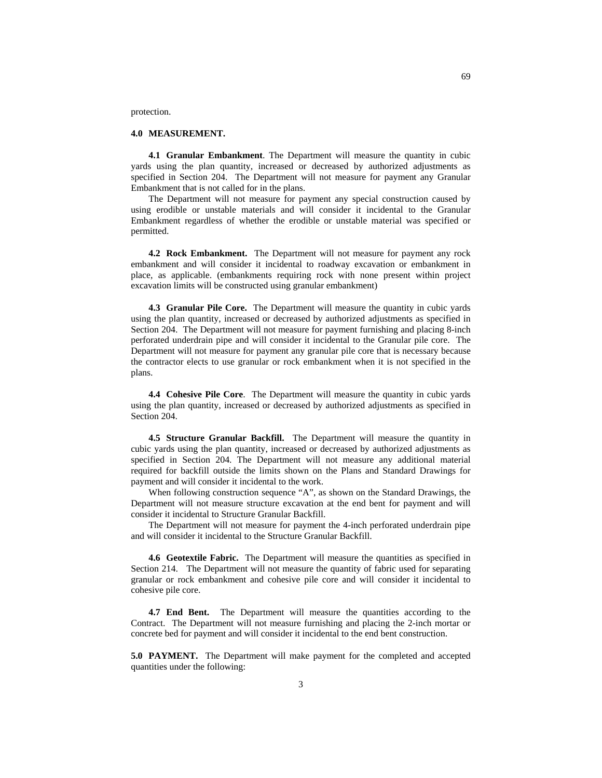protection.

## **4.0 MEASUREMENT.**

**4.1 Granular Embankment**. The Department will measure the quantity in cubic yards using the plan quantity, increased or decreased by authorized adjustments as specified in Section 204. The Department will not measure for payment any Granular Embankment that is not called for in the plans.

The Department will not measure for payment any special construction caused by using erodible or unstable materials and will consider it incidental to the Granular Embankment regardless of whether the erodible or unstable material was specified or permitted.

**4.2 Rock Embankment.** The Department will not measure for payment any rock embankment and will consider it incidental to roadway excavation or embankment in place, as applicable. (embankments requiring rock with none present within project excavation limits will be constructed using granular embankment)

**4.3 Granular Pile Core.** The Department will measure the quantity in cubic yards using the plan quantity, increased or decreased by authorized adjustments as specified in Section 204. The Department will not measure for payment furnishing and placing 8-inch perforated underdrain pipe and will consider it incidental to the Granular pile core. The Department will not measure for payment any granular pile core that is necessary because the contractor elects to use granular or rock embankment when it is not specified in the plans.

**4.4 Cohesive Pile Core**. The Department will measure the quantity in cubic yards using the plan quantity, increased or decreased by authorized adjustments as specified in Section 204.

**4.5 Structure Granular Backfill.** The Department will measure the quantity in cubic yards using the plan quantity, increased or decreased by authorized adjustments as specified in Section 204. The Department will not measure any additional material required for backfill outside the limits shown on the Plans and Standard Drawings for payment and will consider it incidental to the work.

When following construction sequence "A", as shown on the Standard Drawings, the Department will not measure structure excavation at the end bent for payment and will consider it incidental to Structure Granular Backfill.

The Department will not measure for payment the 4-inch perforated underdrain pipe and will consider it incidental to the Structure Granular Backfill.

**4.6 Geotextile Fabric.** The Department will measure the quantities as specified in Section 214. The Department will not measure the quantity of fabric used for separating granular or rock embankment and cohesive pile core and will consider it incidental to cohesive pile core.

**4.7 End Bent.** The Department will measure the quantities according to the Contract. The Department will not measure furnishing and placing the 2-inch mortar or concrete bed for payment and will consider it incidental to the end bent construction.

**5.0 PAYMENT.** The Department will make payment for the completed and accepted quantities under the following: